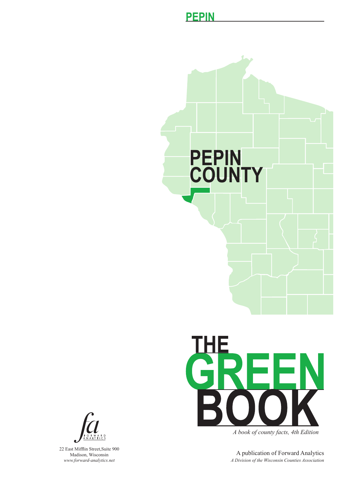





*A book of county facts, 4th Edition*

A publication of Forward Analytics *A Division of the Wisconsin Counties Association*



22 East Mifflin Street,Suite 900 Madison, Wisconsin *www.forward-analytics.net*